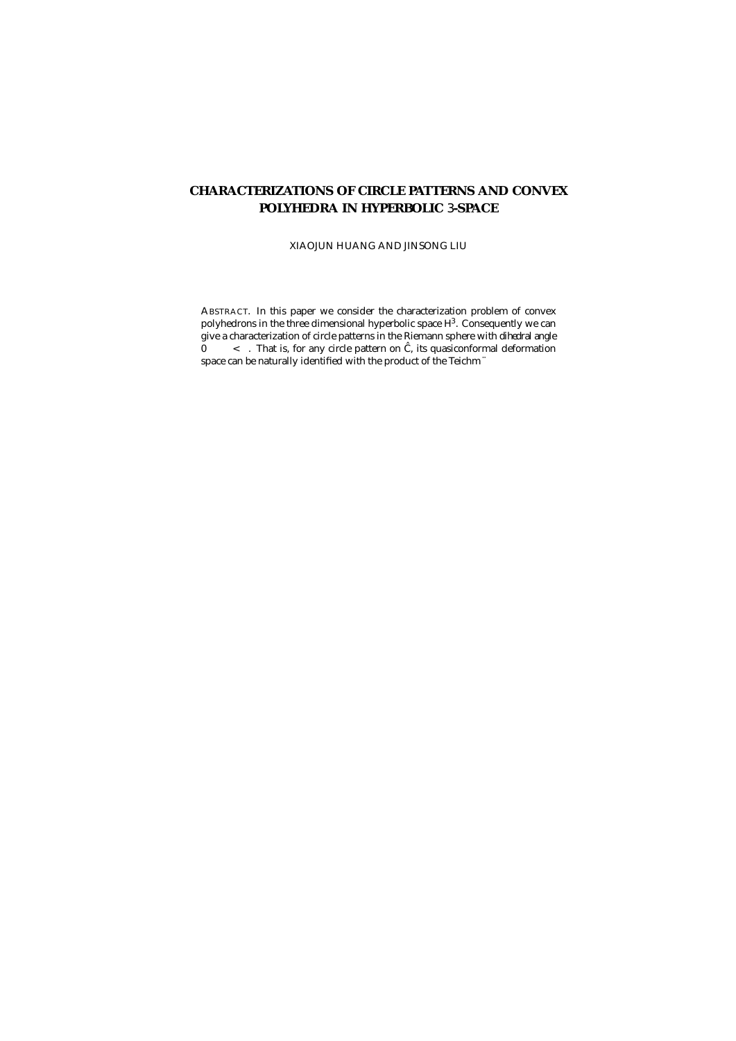## XIAOJUN HUANG AND JINSONG LIU

ABSTRACT. In this paper we consider the characterization problem of convex polyhedrons in the three dimensional hyperbolic space  $H<sup>3</sup>$ . Consequently we can give a characterization of circle patterns in the Riemann sphere with *dihedral angle* 0  $\cdot$  That is, for any circle pattern on  $\hat{C}$ , its quasiconformal deformation space can be naturally identified with the product of the Teichm¨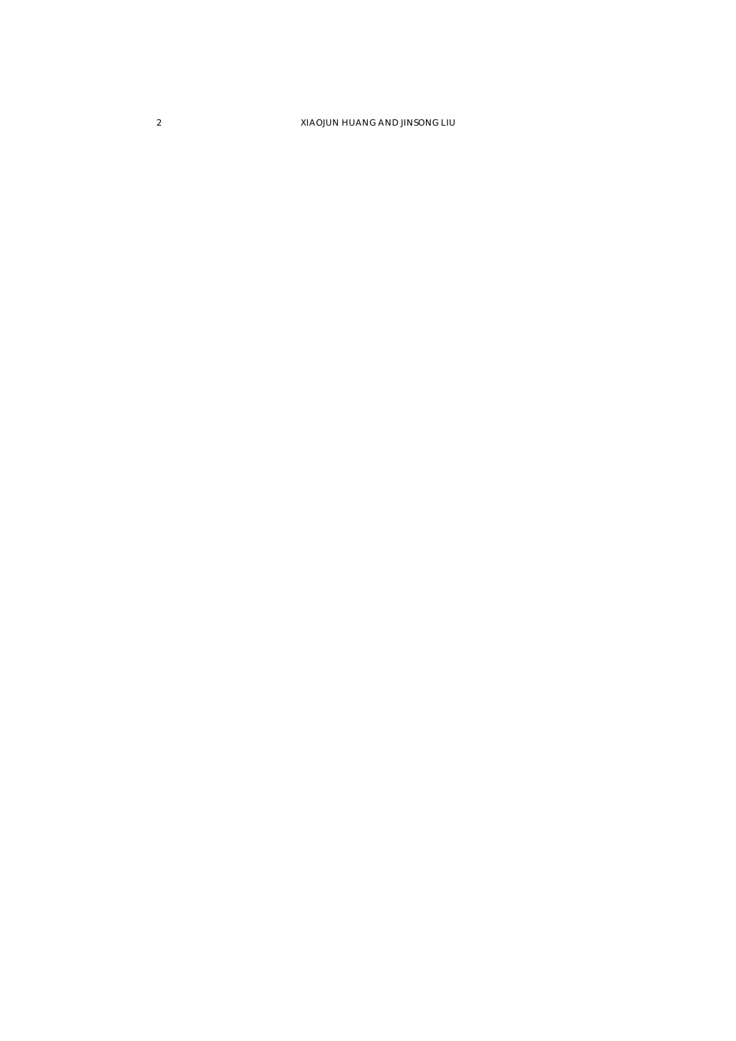XIAOJUN HUANG AND JINSONG LIU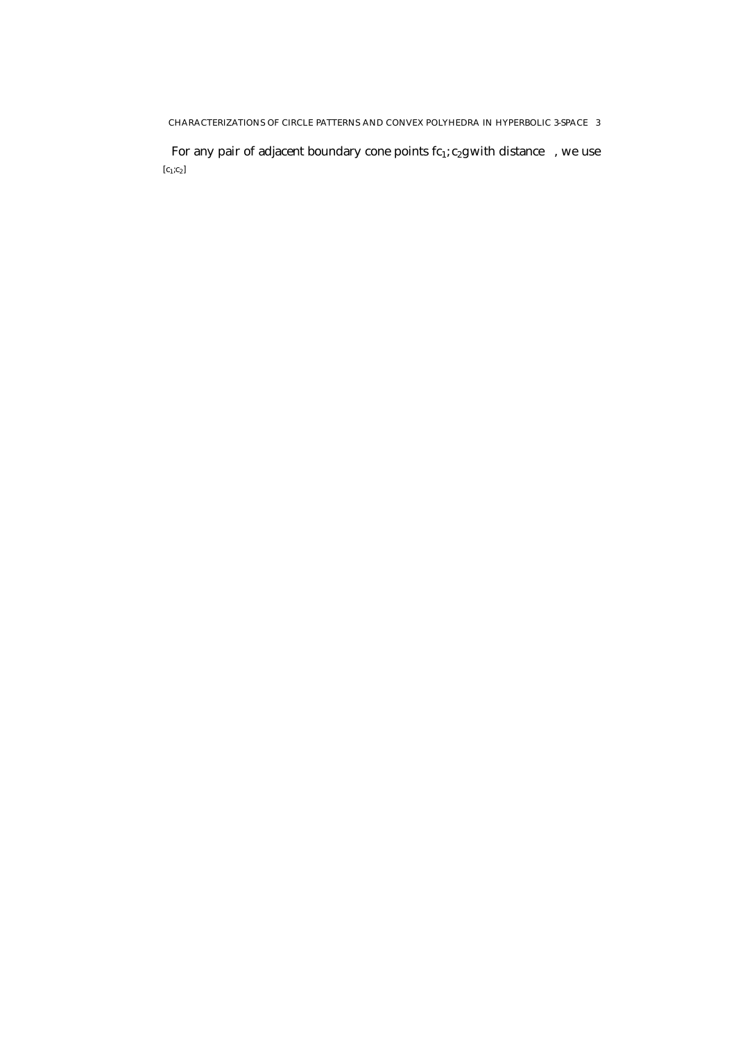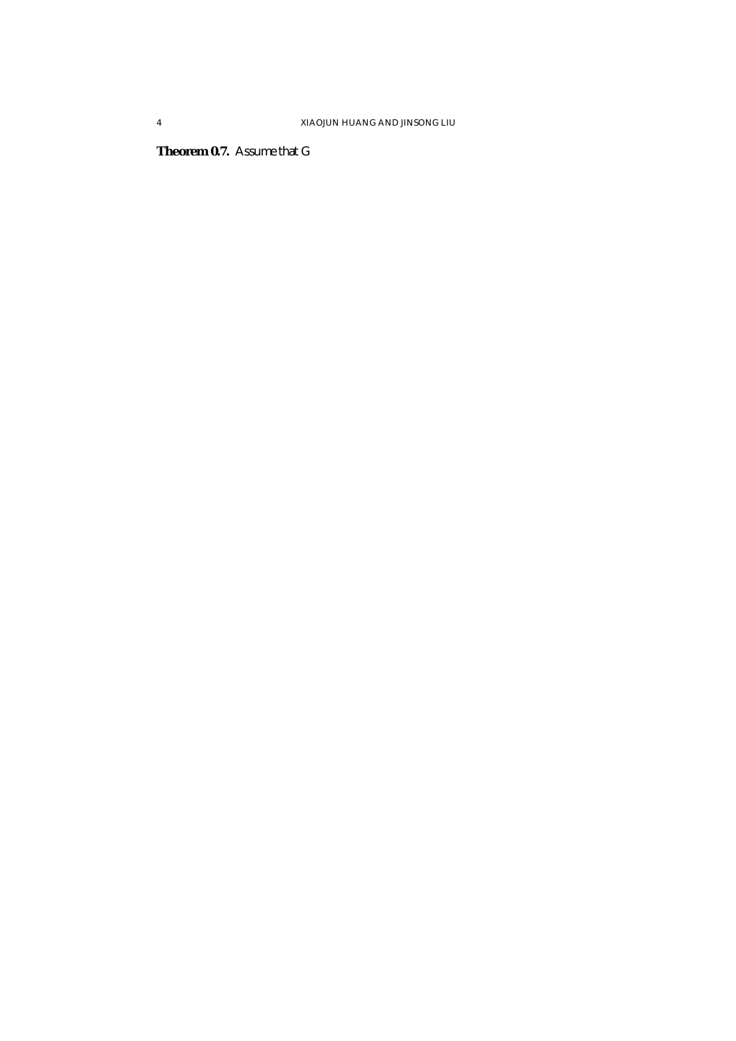Theorem 0.7. Assume that G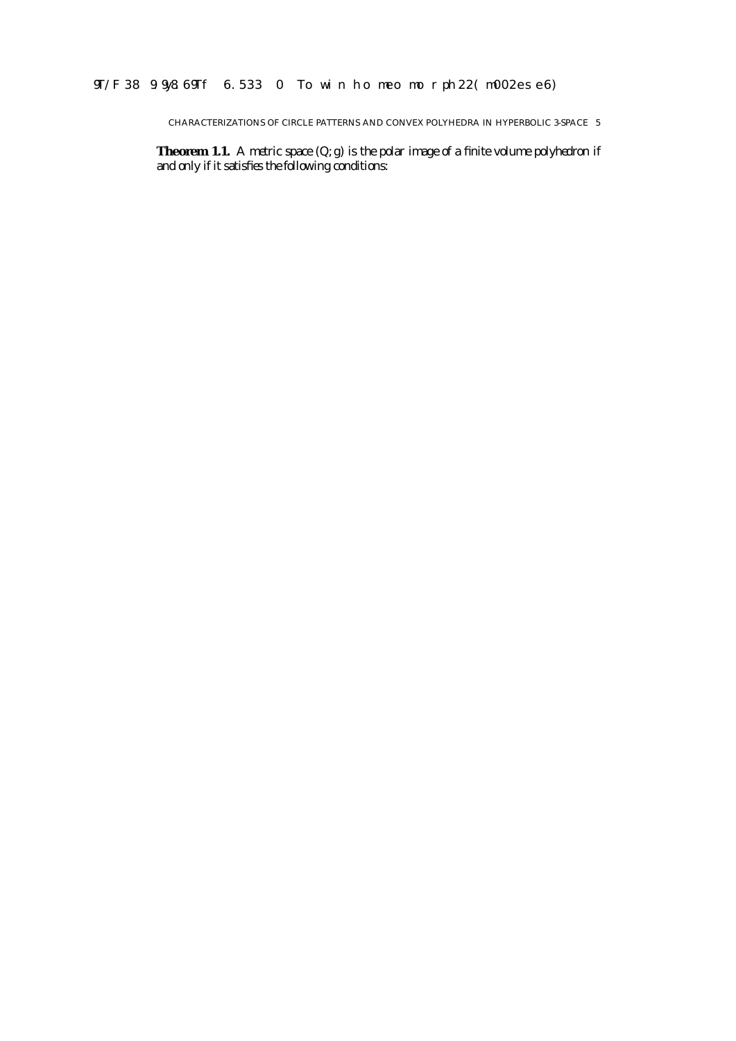**Theorem 1.1.** *A metric space* (*Q*; *g*) *is the polar image of a finite volume polyhedron if and only if it satisfies the following conditions:*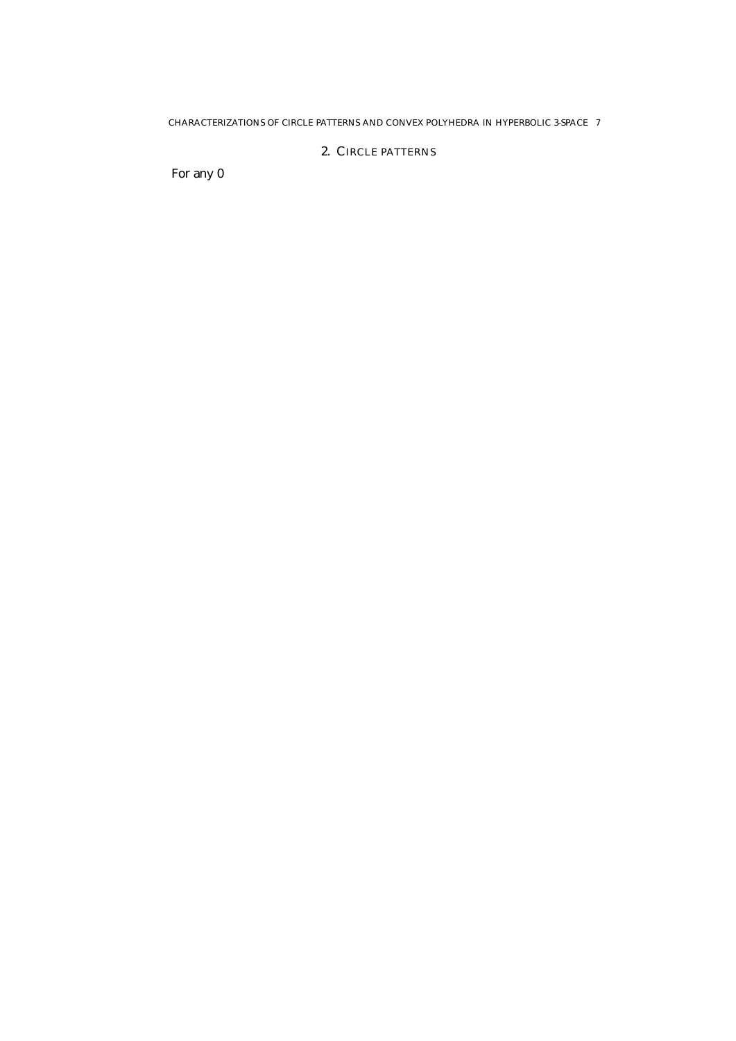2. CIRCLE PATTERNS

For any 0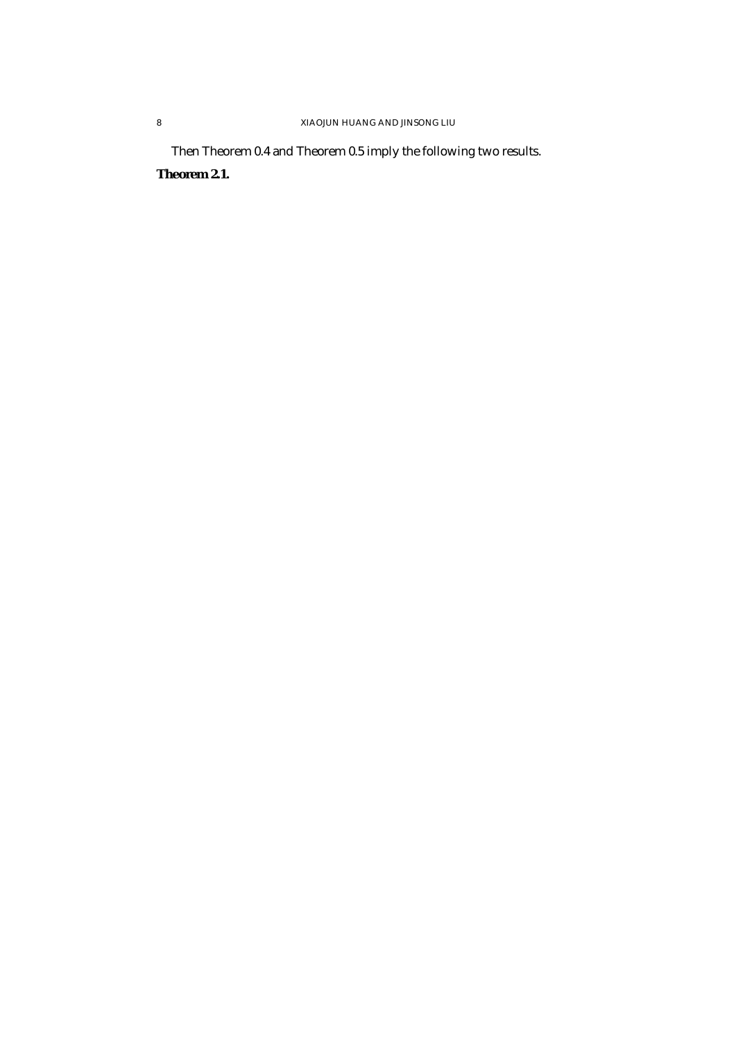Then Theorem 0.4 and Theorem 0.5 imply the following two results. **Theorem 2.1.**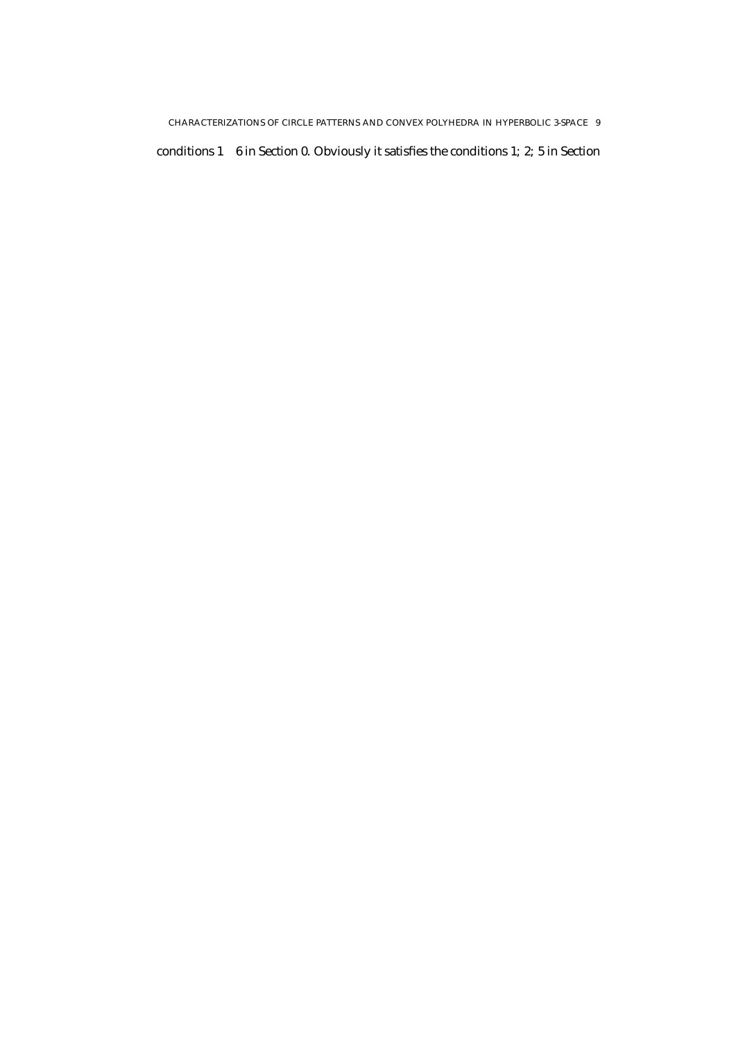conditions 1 6 in Section 0. Obviously it satisfies the conditions 1; 2; 5 in Section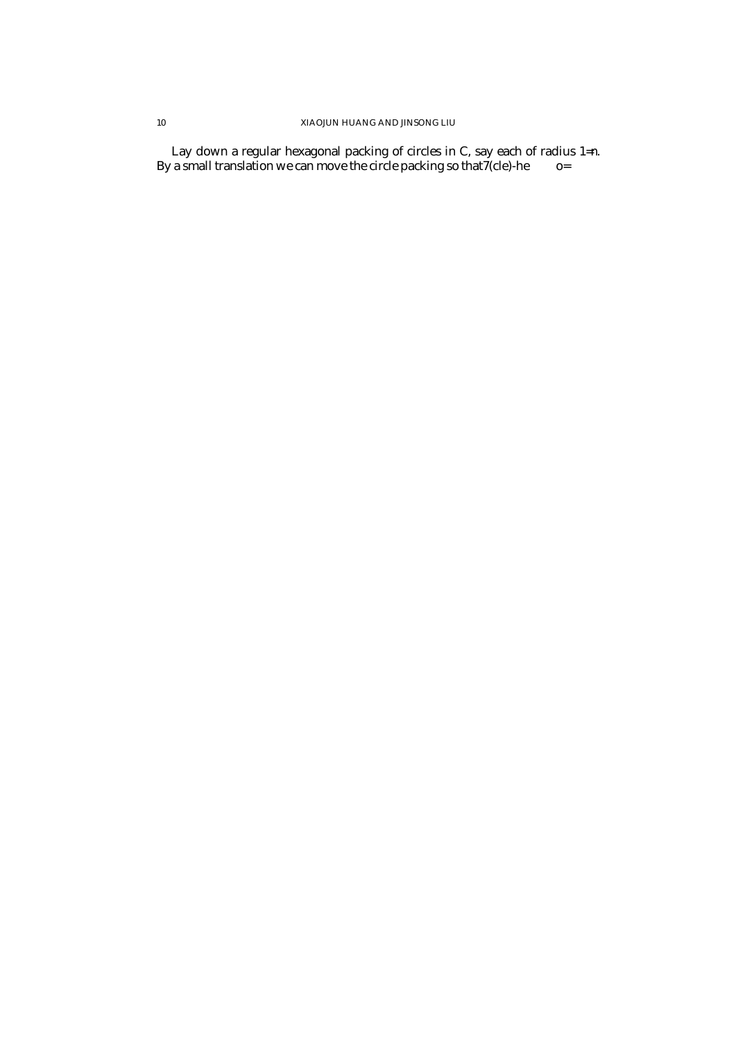Lay down a regular hexagonal packing of circles in C, say each of radius 1=*n*. OJUN HUponent4 0 TD;(=)]**BiloF14 9r0620BD202007B6(d)iBiloF1T**D808237D 17(0 TDaus)ITJ/E46.875677D 11.0 TD[(1)]TJ/E78.8.82T3.2688)0 TD[(,)-335(say)-309 T3.2688like7(cir)(By)731u<br>DV a STIMMETH MOVE THE CILCLE DARKING SOFTHE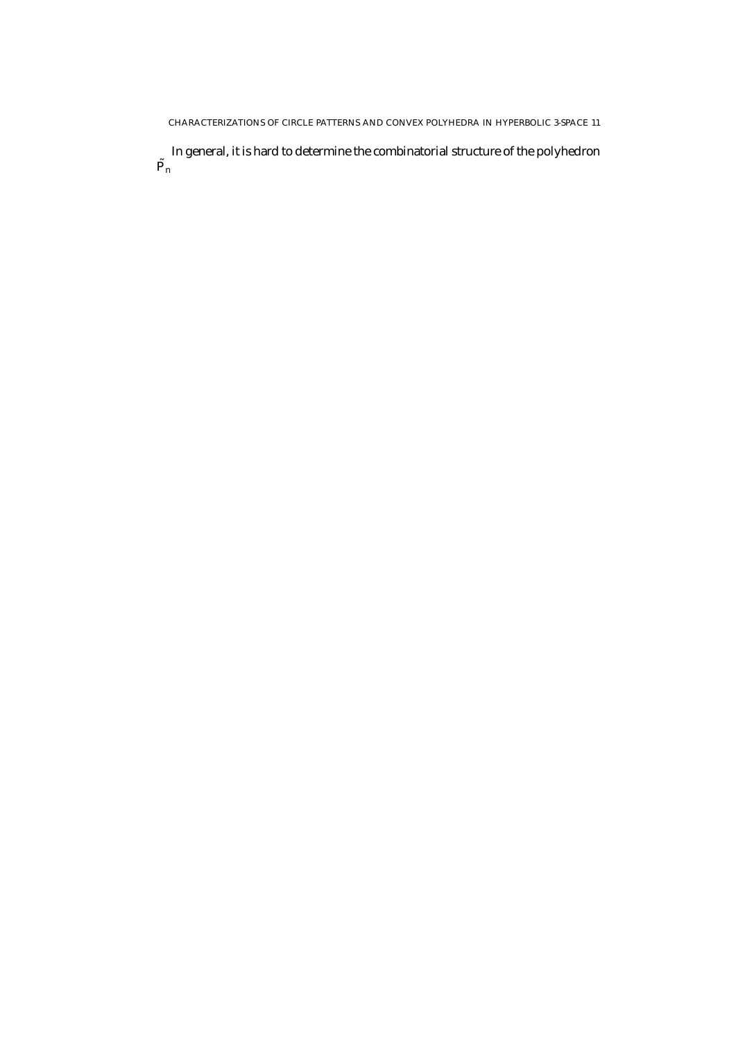In general, it is hard to determine the combinatorial structure of the polyhedron P˜ *n*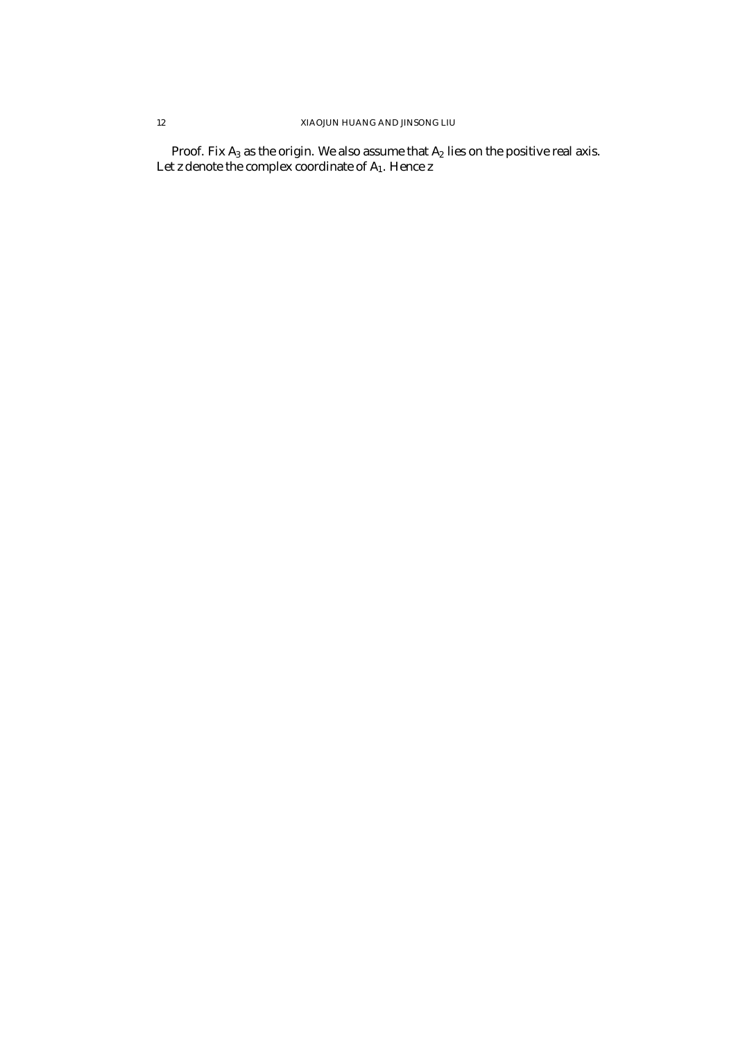Proof. Fix  $A_3$  as the origin. We also assume that  $A_2$  lies on the positive real axis. Let *z* denote the complex coordinate of *A*1. Hence *z*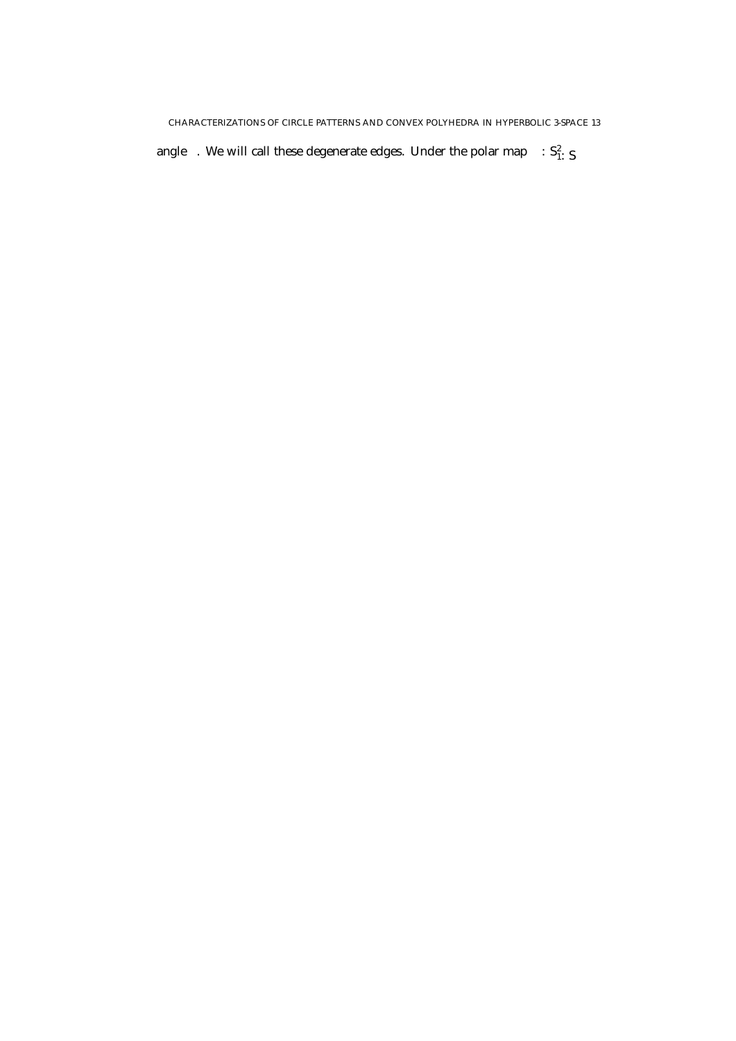angle ). We will call these degenerate edges. Under the polar map  $\Rightarrow$   $S^2_{1:}\$ s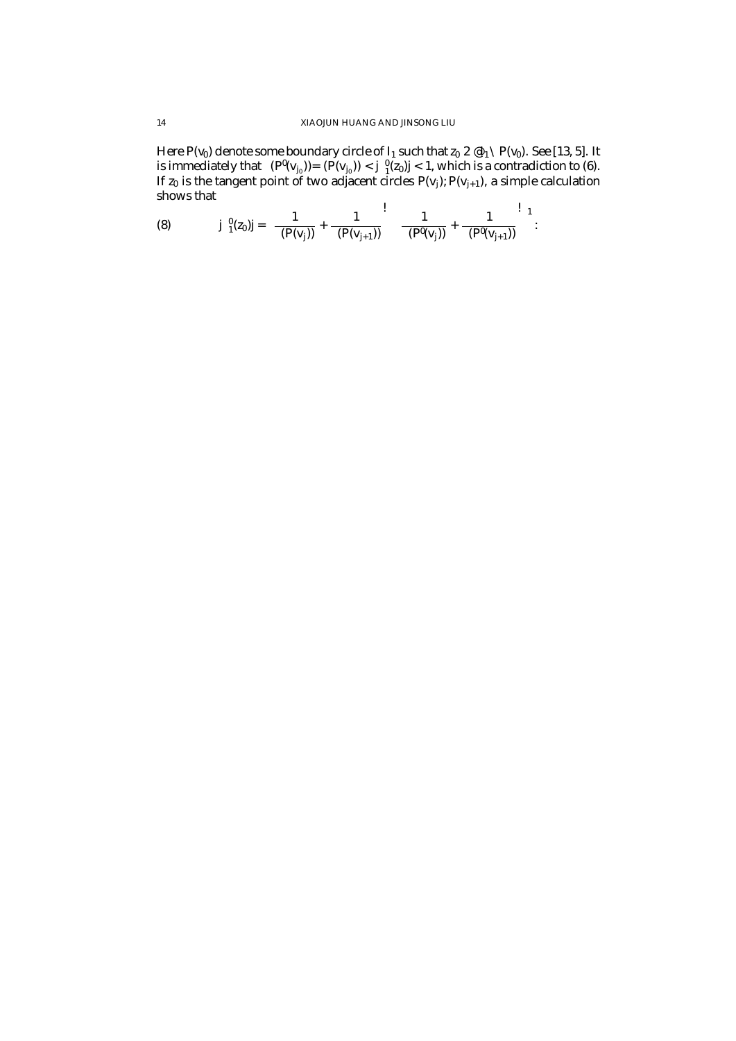Here *P*(*v*0) denote some boundary circle of *I*<sup>1</sup> such that *z*<sup>0</sup> 2 @*I*1\*P*(*v*0). See [13, 5]. It is immediately that  $(P^{\mathbf{0}}(v_{j_0}))$  =  $(P(v_{j_0})) < \mathbf{j} \cdot (Z_0) \mathbf{j} < 1$ , which is a contradiction to (6). If *z*<sup>0</sup> is the tangent point of two adjacent circles *P*(*vj*); *P*(*vj*+1), a simple calculation shows that **.**  $\blacksquare$ 

(8) 
$$
\mathbf{j} \cdot \mathbf{j} \cdot (z_0) \mathbf{j} = \frac{1}{(P(v_j))} + \frac{1}{(P(v_{j+1}))} + \frac{1}{(P(v_j))} + \frac{1}{(P(v_{j+1}))} + \frac{1}{(P(v_{j+1}))} + \frac{1}{(P(v_{j+1}))} + \frac{1}{(P(v_{j+1}))} + \frac{1}{(P(v_{j+1}))} + \frac{1}{(P(v_{j+1}))} + \frac{1}{(P(v_{j+1}))} + \frac{1}{(P(v_{j+1}))} + \frac{1}{(P(v_{j+1}))} + \frac{1}{(P(v_{j+1}))} + \frac{1}{(P(v_{j+1}))} + \frac{1}{(P(v_{j+1}))} + \frac{1}{(P(v_{j+1}))} + \frac{1}{(P(v_{j+1}))} + \frac{1}{(P(v_{j+1}))} + \frac{1}{(P(v_{j+1}))} + \frac{1}{(P(v_{j+1}))} + \frac{1}{(P(v_{j+1}))} + \frac{1}{(P(v_{j+1}))} + \frac{1}{(P(v_{j+1}))} + \frac{1}{(P(v_{j+1}))} + \frac{1}{(P(v_{j+1}))} + \frac{1}{(P(v_{j+1}))} + \frac{1}{(P(v_{j+1}))} + \frac{1}{(P(v_{j+1}))} + \frac{1}{(P(v_{j+1}))} + \frac{1}{(P(v_{j+1}))} + \frac{1}{(P(v_{j+1}))} + \frac{1}{(P(v_{j+1}))} + \frac{1}{(P(v_{j+1}))} + \frac{1}{(P(v_{j+1}))} + \frac{1}{(P(v_{j+1}))} + \frac{1}{(P(v_{j+1}))} + \frac{1}{(P(v_{j+1}))} + \frac{1}{(P(v_{j+1}))} + \frac{1}{(P(v_{j+1}))} + \frac{1}{(P(v_{j+1}))} + \frac{1}{(P(v_{j+1}))} + \frac{1}{(P(v_{j+1}))} + \frac{1}{(P(v_{j+1}))} + \frac{1}{(P(v_{j+1}))} + \frac{1}{(P(v_{j+1}))} + \frac{1}{(P(v_{j+1}))} + \frac{1}{(P(v_{j+1}))} + \frac{1}{(P(v_{j+1}))} + \frac{1}{(P(v_{j+1}))} + \frac{1}{(
$$